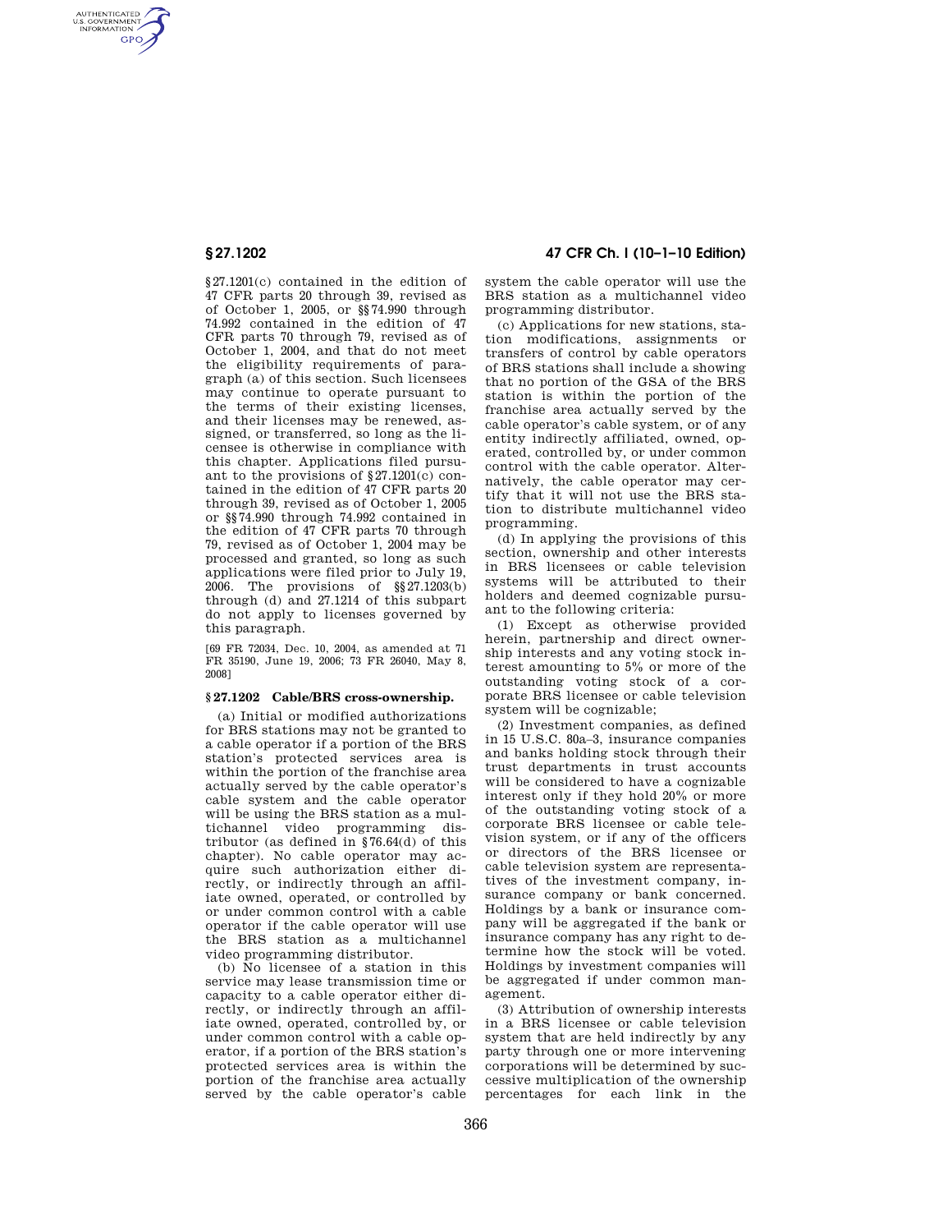AUTHENTICATED<br>U.S. GOVERNMENT<br>INFORMATION **GPO** 

> §27.1201(c) contained in the edition of 47 CFR parts 20 through 39, revised as of October 1, 2005, or §§74.990 through 74.992 contained in the edition of 47 CFR parts 70 through 79, revised as of October 1, 2004, and that do not meet the eligibility requirements of paragraph (a) of this section. Such licensees may continue to operate pursuant to the terms of their existing licenses, and their licenses may be renewed, assigned, or transferred, so long as the licensee is otherwise in compliance with this chapter. Applications filed pursuant to the provisions of §27.1201(c) contained in the edition of 47 CFR parts 20 through 39, revised as of October 1, 2005 or §§74.990 through 74.992 contained in the edition of 47 CFR parts 70 through 79, revised as of October 1, 2004 may be processed and granted, so long as such applications were filed prior to July 19, 2006. The provisions of §§27.1203(b) through (d) and 27.1214 of this subpart do not apply to licenses governed by this paragraph.

[69 FR 72034, Dec. 10, 2004, as amended at 71 FR 35190, June 19, 2006; 73 FR 26040, May 8, 2008]

## **§ 27.1202 Cable/BRS cross-ownership.**

(a) Initial or modified authorizations for BRS stations may not be granted to a cable operator if a portion of the BRS station's protected services area is within the portion of the franchise area actually served by the cable operator's cable system and the cable operator will be using the BRS station as a multichannel video programming distributor (as defined in §76.64(d) of this chapter). No cable operator may acquire such authorization either directly, or indirectly through an affiliate owned, operated, or controlled by or under common control with a cable operator if the cable operator will use the BRS station as a multichannel video programming distributor.

(b) No licensee of a station in this service may lease transmission time or capacity to a cable operator either directly, or indirectly through an affiliate owned, operated, controlled by, or under common control with a cable operator, if a portion of the BRS station's protected services area is within the portion of the franchise area actually served by the cable operator's cable

# **§ 27.1202 47 CFR Ch. I (10–1–10 Edition)**

system the cable operator will use the BRS station as a multichannel video programming distributor.

(c) Applications for new stations, station modifications, assignments or transfers of control by cable operators of BRS stations shall include a showing that no portion of the GSA of the BRS station is within the portion of the franchise area actually served by the cable operator's cable system, or of any entity indirectly affiliated, owned, operated, controlled by, or under common control with the cable operator. Alternatively, the cable operator may certify that it will not use the BRS station to distribute multichannel video programming.

(d) In applying the provisions of this section, ownership and other interests in BRS licensees or cable television systems will be attributed to their holders and deemed cognizable pursuant to the following criteria:

(1) Except as otherwise provided herein, partnership and direct ownership interests and any voting stock interest amounting to 5% or more of the outstanding voting stock of a corporate BRS licensee or cable television system will be cognizable;

(2) Investment companies, as defined in 15 U.S.C. 80a–3, insurance companies and banks holding stock through their trust departments in trust accounts will be considered to have a cognizable interest only if they hold 20% or more of the outstanding voting stock of a corporate BRS licensee or cable television system, or if any of the officers or directors of the BRS licensee or cable television system are representatives of the investment company, insurance company or bank concerned. Holdings by a bank or insurance company will be aggregated if the bank or insurance company has any right to determine how the stock will be voted. Holdings by investment companies will be aggregated if under common management.

(3) Attribution of ownership interests in a BRS licensee or cable television system that are held indirectly by any party through one or more intervening corporations will be determined by successive multiplication of the ownership percentages for each link in the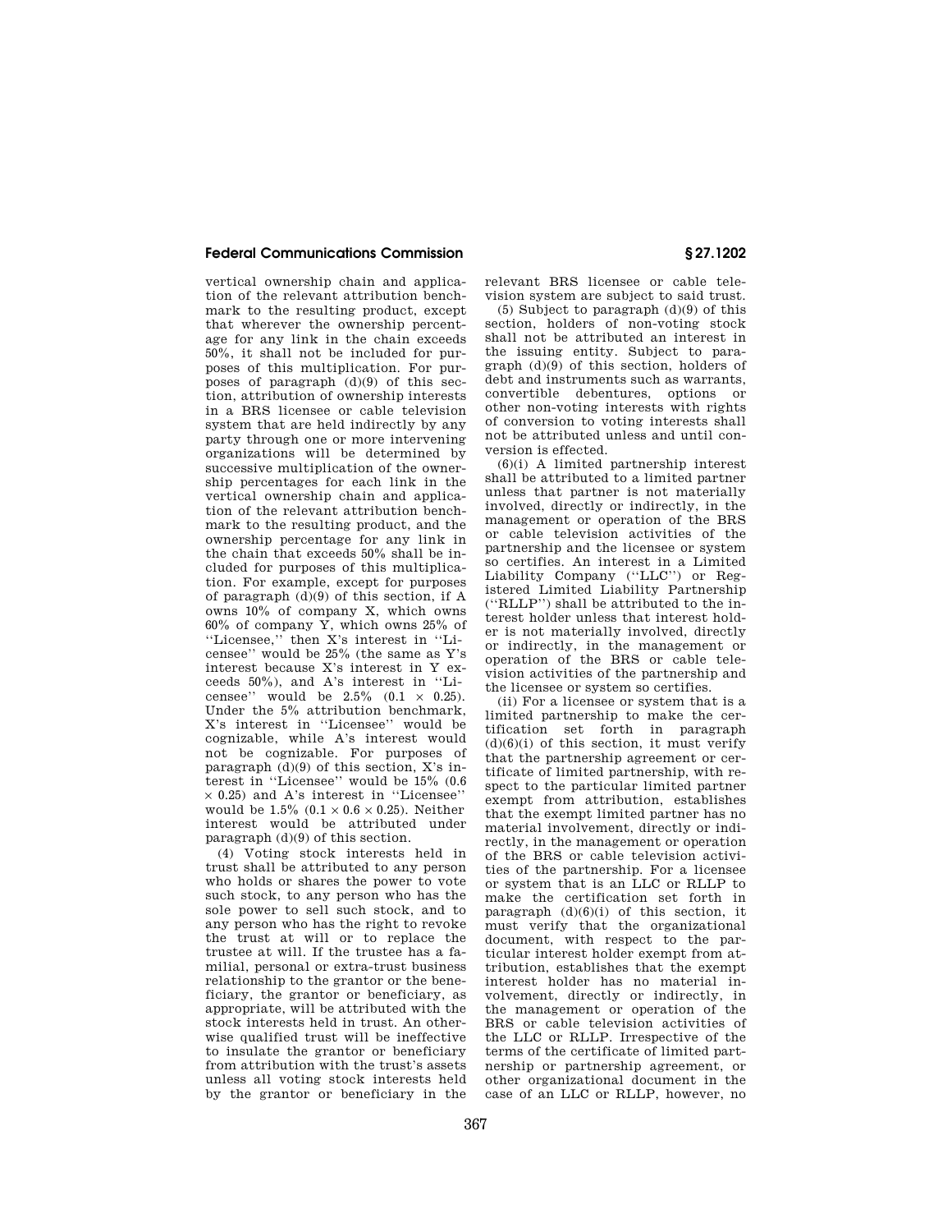### **Federal Communications Commission § 27.1202**

vertical ownership chain and application of the relevant attribution benchmark to the resulting product, except that wherever the ownership percentage for any link in the chain exceeds 50%, it shall not be included for purposes of this multiplication. For purposes of paragraph  $(d)(9)$  of this section, attribution of ownership interests in a BRS licensee or cable television system that are held indirectly by any party through one or more intervening organizations will be determined by successive multiplication of the ownership percentages for each link in the vertical ownership chain and application of the relevant attribution benchmark to the resulting product, and the ownership percentage for any link in the chain that exceeds 50% shall be included for purposes of this multiplication. For example, except for purposes of paragraph (d)(9) of this section, if A owns 10% of company X, which owns 60% of company Y, which owns 25% of ''Licensee,'' then X's interest in ''Licensee'' would be 25% (the same as Y's interest because X's interest in Y exceeds 50%), and A's interest in ''Licensee'' would be  $2.5\%$   $(0.1 \times 0.25)$ . Under the 5% attribution benchmark, X's interest in ''Licensee'' would be cognizable, while A's interest would not be cognizable. For purposes of paragraph  $(d)(9)$  of this section, X's interest in ''Licensee'' would be 15% (0.6  $\times$  0.25) and A's interest in "Licensee" would be  $1.5\%$   $(0.1 \times 0.6 \times 0.25)$ . Neither interest would be attributed under paragraph (d)(9) of this section.

(4) Voting stock interests held in trust shall be attributed to any person who holds or shares the power to vote such stock, to any person who has the sole power to sell such stock, and to any person who has the right to revoke the trust at will or to replace the trustee at will. If the trustee has a familial, personal or extra-trust business relationship to the grantor or the beneficiary, the grantor or beneficiary, as appropriate, will be attributed with the stock interests held in trust. An otherwise qualified trust will be ineffective to insulate the grantor or beneficiary from attribution with the trust's assets unless all voting stock interests held by the grantor or beneficiary in the

relevant BRS licensee or cable television system are subject to said trust.

(5) Subject to paragraph (d)(9) of this section, holders of non-voting stock shall not be attributed an interest in the issuing entity. Subject to paragraph (d)(9) of this section, holders of debt and instruments such as warrants, convertible debentures, options or other non-voting interests with rights of conversion to voting interests shall not be attributed unless and until conversion is effected.

(6)(i) A limited partnership interest shall be attributed to a limited partner unless that partner is not materially involved, directly or indirectly, in the management or operation of the BRS or cable television activities of the partnership and the licensee or system so certifies. An interest in a Limited Liability Company (''LLC'') or Registered Limited Liability Partnership (''RLLP'') shall be attributed to the interest holder unless that interest holder is not materially involved, directly or indirectly, in the management or operation of the BRS or cable television activities of the partnership and the licensee or system so certifies.

(ii) For a licensee or system that is a limited partnership to make the certification set forth in paragraph  $(d)(6)(i)$  of this section, it must verify that the partnership agreement or certificate of limited partnership, with respect to the particular limited partner exempt from attribution, establishes that the exempt limited partner has no material involvement, directly or indirectly, in the management or operation of the BRS or cable television activities of the partnership. For a licensee or system that is an LLC or RLLP to make the certification set forth in paragraph  $(d)(6)(i)$  of this section, it must verify that the organizational document, with respect to the particular interest holder exempt from attribution, establishes that the exempt interest holder has no material involvement, directly or indirectly, in the management or operation of the BRS or cable television activities of the LLC or RLLP. Irrespective of the terms of the certificate of limited partnership or partnership agreement, or other organizational document in the case of an LLC or RLLP, however, no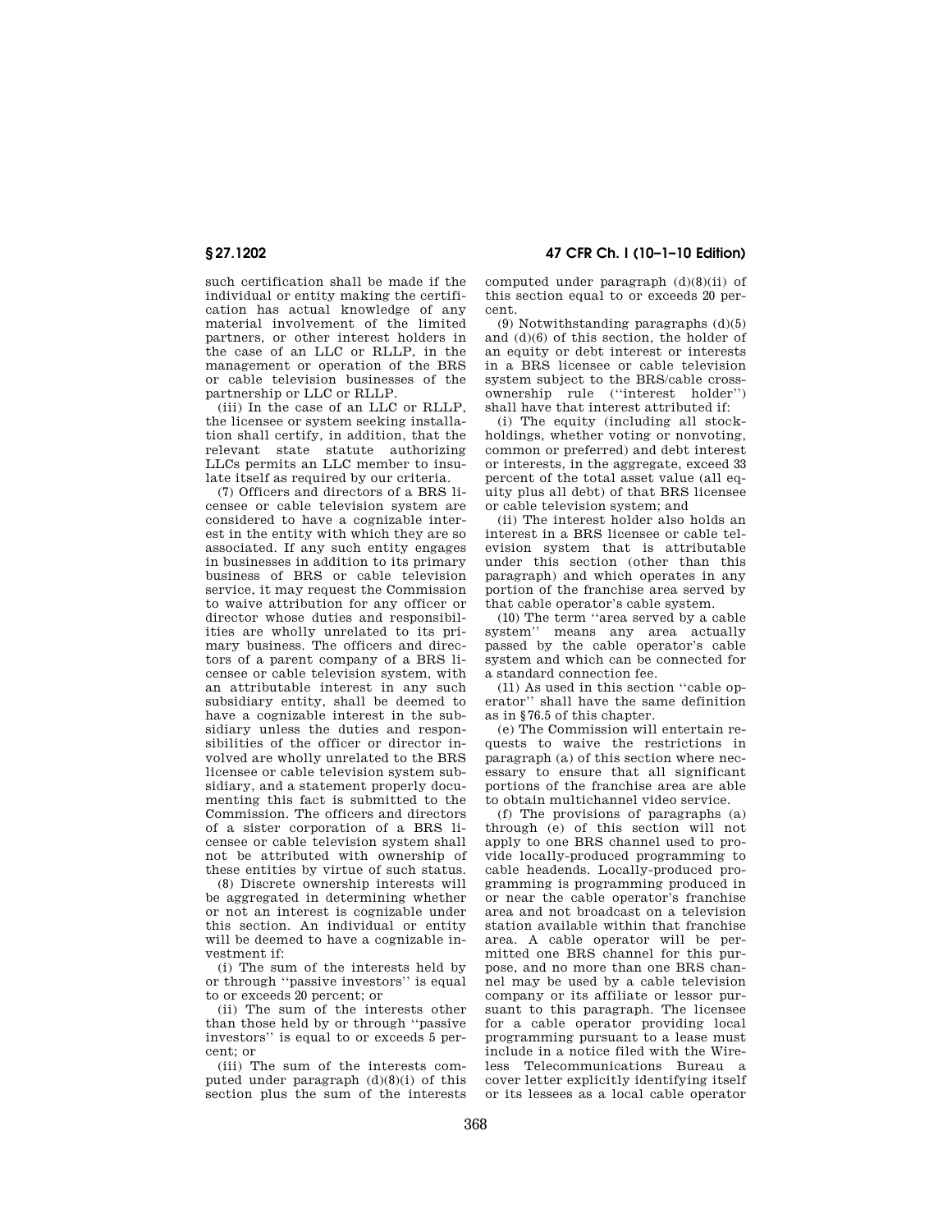such certification shall be made if the individual or entity making the certification has actual knowledge of any material involvement of the limited partners, or other interest holders in the case of an LLC or RLLP, in the management or operation of the BRS or cable television businesses of the partnership or LLC or RLLP.

(iii) In the case of an LLC or RLLP, the licensee or system seeking installation shall certify, in addition, that the relevant state statute authorizing LLCs permits an LLC member to insulate itself as required by our criteria.

(7) Officers and directors of a BRS licensee or cable television system are considered to have a cognizable interest in the entity with which they are so associated. If any such entity engages in businesses in addition to its primary business of BRS or cable television service, it may request the Commission to waive attribution for any officer or director whose duties and responsibilities are wholly unrelated to its primary business. The officers and directors of a parent company of a BRS licensee or cable television system, with an attributable interest in any such subsidiary entity, shall be deemed to have a cognizable interest in the subsidiary unless the duties and responsibilities of the officer or director involved are wholly unrelated to the BRS licensee or cable television system subsidiary, and a statement properly documenting this fact is submitted to the Commission. The officers and directors of a sister corporation of a BRS licensee or cable television system shall not be attributed with ownership of these entities by virtue of such status.

(8) Discrete ownership interests will be aggregated in determining whether or not an interest is cognizable under this section. An individual or entity will be deemed to have a cognizable investment if:

(i) The sum of the interests held by or through ''passive investors'' is equal to or exceeds 20 percent; or

(ii) The sum of the interests other than those held by or through ''passive investors'' is equal to or exceeds 5 percent; or

(iii) The sum of the interests computed under paragraph (d)(8)(i) of this section plus the sum of the interests

**§ 27.1202 47 CFR Ch. I (10–1–10 Edition)** 

computed under paragraph (d)(8)(ii) of this section equal to or exceeds 20 percent.

(9) Notwithstanding paragraphs (d)(5) and (d)(6) of this section, the holder of an equity or debt interest or interests in a BRS licensee or cable television system subject to the BRS/cable crossownership rule (''interest holder'') shall have that interest attributed if:

(i) The equity (including all stockholdings, whether voting or nonvoting, common or preferred) and debt interest or interests, in the aggregate, exceed 33 percent of the total asset value (all equity plus all debt) of that BRS licensee or cable television system; and

(ii) The interest holder also holds an interest in a BRS licensee or cable television system that is attributable under this section (other than this paragraph) and which operates in any portion of the franchise area served by that cable operator's cable system.

(10) The term ''area served by a cable system'' means any area actually passed by the cable operator's cable system and which can be connected for a standard connection fee.

(11) As used in this section ''cable operator'' shall have the same definition as in §76.5 of this chapter.

(e) The Commission will entertain requests to waive the restrictions in paragraph (a) of this section where necessary to ensure that all significant portions of the franchise area are able to obtain multichannel video service.

(f) The provisions of paragraphs (a) through (e) of this section will not apply to one BRS channel used to provide locally-produced programming to cable headends. Locally-produced programming is programming produced in or near the cable operator's franchise area and not broadcast on a television station available within that franchise area. A cable operator will be permitted one BRS channel for this purpose, and no more than one BRS channel may be used by a cable television company or its affiliate or lessor pursuant to this paragraph. The licensee for a cable operator providing local programming pursuant to a lease must include in a notice filed with the Wireless Telecommunications Bureau a cover letter explicitly identifying itself or its lessees as a local cable operator